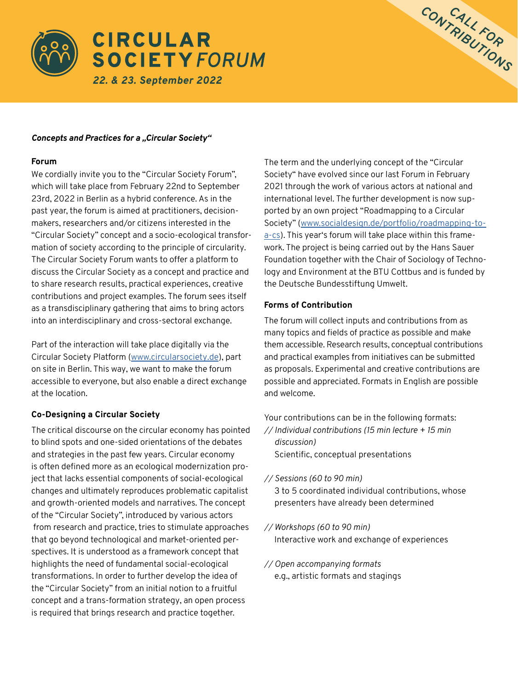



#### **Forum**

We cordially invite you to the "Circular Society Forum", which will take place from February 22nd to September 23rd, 2022 in Berlin as a hybrid conference. As in the past year, the forum is aimed at practitioners, decisionmakers, researchers and/or citizens interested in the "Circular Society" concept and a socio-ecological transformation of society according to the principle of circularity. The Circular Society Forum wants to offer a platform to discuss the Circular Society as a concept and practice and to share research results, practical experiences, creative contributions and project examples. The forum sees itself as a transdisciplinary gathering that aims to bring actors into an interdisciplinary and cross-sectoral exchange.

Part of the interaction will take place digitally via the Circular Society Platform ([www.circularsociety.de\)](http://www.circularsociety.de), part on site in Berlin. This way, we want to make the forum accessible to everyone, but also enable a direct exchange at the location.

#### **Co-Designing a Circular Society**

The critical discourse on the circular economy has pointed to blind spots and one-sided orientations of the debates and strategies in the past few years. Circular economy is often defined more as an ecological modernization project that lacks essential components of social-ecological changes and ultimately reproduces problematic capitalist and growth-oriented models and narratives. The concept of the "Circular Society", introduced by various actors from research and practice, tries to stimulate approaches that go beyond technological and market-oriented perspectives. It is understood as a framework concept that highlights the need of fundamental social-ecological transformations. In order to further develop the idea of the "Circular Society" from an initial notion to a fruitful concept and a trans-formation strategy, an open process is required that brings research and practice together.

The term and the underlying concept of the "Circular Society" have evolved since our last Forum in February 2021 through the work of various actors at national and international level. The further development is now supported by an own project "Roadmapping to a Circular Society" ([www.socialdesign.de/portfolio/roadmapping-to](http://www.socialdesign.de/portfolio/roadmapping-to-a-cs)[a-cs](http://www.socialdesign.de/portfolio/roadmapping-to-a-cs)). This year's forum will take place within this framework. The project is being carried out by the Hans Sauer Foundation together with the Chair of Sociology of Technology and Environment at the BTU Cottbus and is funded by the Deutsche Bundesstiftung Umwelt.

*CONTRIBUTIONS CALL FOR* 

#### **Forms of Contribution**

The forum will collect inputs and contributions from as many topics and fields of practice as possible and make them accessible. Research results, conceptual contributions and practical examples from initiatives can be submitted as proposals. Experimental and creative contributions are possible and appreciated. Formats in English are possible and welcome.

Your contributions can be in the following formats: *// Individual contributions (15 min lecture + 15 min* 

*discussion)*  Scientific, conceptual presentations

- *// Sessions (60 to 90 min)*  3 to 5 coordinated individual contributions, whose presenters have already been determined
- *// Workshops (60 to 90 min)*  Interactive work and exchange of experiences

*// Open accompanying formats*  e.g., artistic formats and stagings